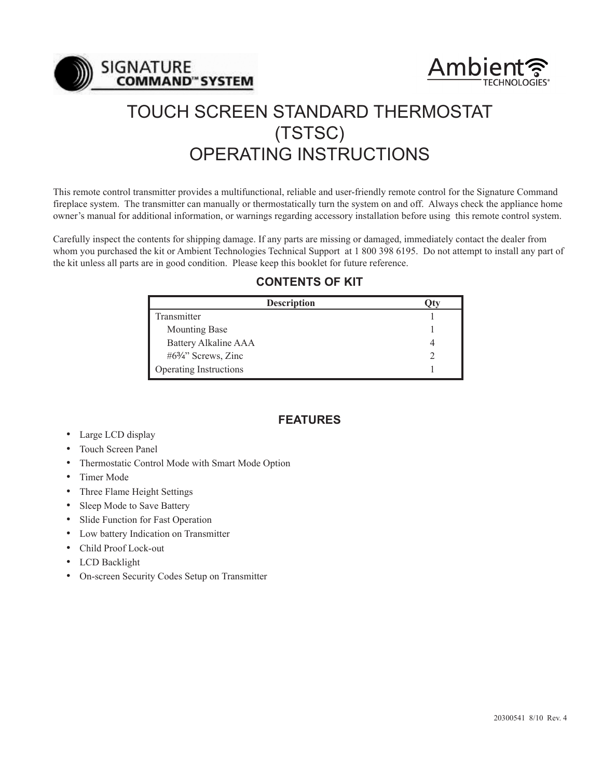



# TOUCH SCREEN STANDARD THERMOSTAT (TSTSC) OPERATING INSTRUCTIONS

This remote control transmitter provides a multifunctional, reliable and user-friendly remote control for the Signature Command fireplace system. The transmitter can manually or thermostatically turn the system on and off. Always check the appliance home owner's manual for additional information, or warnings regarding accessory installation before using this remote control system.

Carefully inspect the contents for shipping damage. If any parts are missing or damaged, immediately contact the dealer from whom you purchased the kit or Ambient Technologies Technical Support at 1 800 398 6195. Do not attempt to install any part of the kit unless all parts are in good condition. Please keep this booklet for future reference.

# **CONTENTS OF KIT**

| <b>Description</b>             |  |
|--------------------------------|--|
| Transmitter                    |  |
| <b>Mounting Base</b>           |  |
| <b>Battery Alkaline AAA</b>    |  |
| $#6\frac{3}{4}$ " Screws, Zinc |  |
| Operating Instructions         |  |

# **FEATURES**

- Large LCD display
- Touch Screen Panel
- Thermostatic Control Mode with Smart Mode Option
- Timer Mode
- Three Flame Height Settings
- Sleep Mode to Save Battery
- Slide Function for Fast Operation
- Low battery Indication on Transmitter
- Child Proof Lock-out
- LCD Backlight
- On-screen Security Codes Setup on Transmitter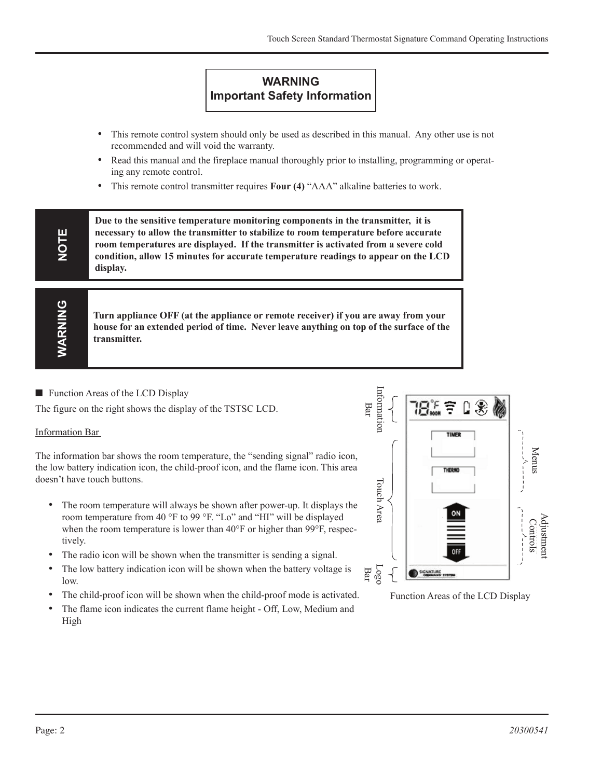# **WARNING Important Safety Information**

- This remote control system should only be used as described in this manual. Any other use is not recommended and will void the warranty.
- Read this manual and the fireplace manual thoroughly prior to installing, programming or operating any remote control.
- This remote control transmitter requires **Four (4)** "AAA" alkaline batteries to work.

**Due to the sensitive temperature monitoring components in the transmitter, it is necessary to allow the transmitter to stabilize to room temperature before accurate room temperatures are displayed. If the transmitter is activated from a severe cold condition, allow 15 minutes for accurate temperature readings to appear on the LCD display.**

**Turn appliance OFF (at the appliance or remote receiver) if you are away from your house for an extended period of time. Never leave anything on top of the surface of the transmitter.**

 $\blacksquare$  Function Areas of the LCD Display

The figure on the right shows the display of the TSTSC LCD.

#### Information Bar

**NOTE**

**WARNING**

WARNING

The information bar shows the room temperature, the "sending signal" radio icon, the low battery indication icon, the child-proof icon, and the flame icon. This area doesn't have touch buttons.

- The room temperature will always be shown after power-up. It displays the room temperature from 40 °F to 99 °F. "Lo" and "HI" will be displayed when the room temperature is lower than 40°F or higher than 99°F, respectively.
- The radio icon will be shown when the transmitter is sending a signal.
- The low battery indication icon will be shown when the battery voltage is low.
- The child-proof icon will be shown when the child-proof mode is activated.
- The flame icon indicates the current flame height Off, Low, Medium and High



Function Areas of the LCD Display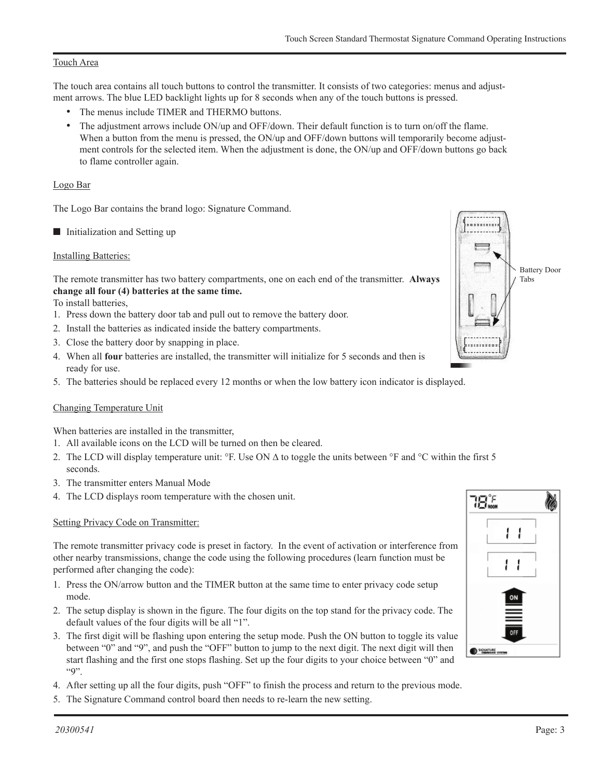#### Touch Area

The touch area contains all touch buttons to control the transmitter. It consists of two categories: menus and adjustment arrows. The blue LED backlight lights up for 8 seconds when any of the touch buttons is pressed.

- The menus include TIMER and THERMO buttons.
- The adjustment arrows include ON/up and OFF/down. Their default function is to turn on/off the flame. When a button from the menu is pressed, the ON/up and OFF/down buttons will temporarily become adjustment controls for the selected item. When the adjustment is done, the ON/up and OFF/down buttons go back to flame controller again.

#### Logo Bar

The Logo Bar contains the brand logo: Signature Command.

 $\blacksquare$  Initialization and Setting up

#### Installing Batteries:

The remote transmitter has two battery compartments, one on each end of the transmitter. **Always change all four (4) batteries at the same time.**

To install batteries,

- 1. Press down the battery door tab and pull out to remove the battery door.
- 2. Install the batteries as indicated inside the battery compartments.
- 3. Close the battery door by snapping in place.
- 4. When all **four** batteries are installed, the transmitter will initialize for 5 seconds and then is ready for use.
- 5. The batteries should be replaced every 12 months or when the low battery icon indicator is displayed.

#### Changing Temperature Unit

When batteries are installed in the transmitter,

- 1. All available icons on the LCD will be turned on then be cleared.
- 2. The LCD will display temperature unit: °F. Use ON ∆ to toggle the units between °F and °C within the first 5 seconds.
- 3. The transmitter enters Manual Mode
- 4. The LCD displays room temperature with the chosen unit.

#### Setting Privacy Code on Transmitter:

The remote transmitter privacy code is preset in factory. In the event of activation or interference from other nearby transmissions, change the code using the following procedures (learn function must be performed after changing the code):

- 1. Press the ON/arrow button and the TIMER button at the same time to enter privacy code setup mode.
- 2. The setup display is shown in the figure. The four digits on the top stand for the privacy code. The default values of the four digits will be all "1".
- 3. The first digit will be flashing upon entering the setup mode. Push the ON button to toggle its value between "0" and "9", and push the "OFF" button to jump to the next digit. The next digit will then start flashing and the first one stops flashing. Set up the four digits to your choice between "0" and  $"9"$ .
- 4. After setting up all the four digits, push "OFF" to finish the process and return to the previous mode.
- 5. The Signature Command control board then needs to re-learn the new setting.



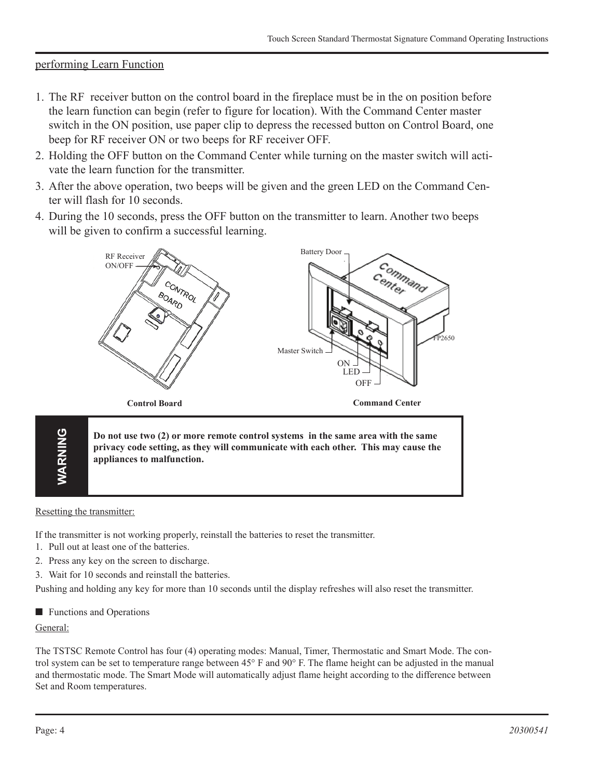# performing Learn Function

- 1. The RF receiver button on the control board in the fireplace must be in the on position before the learn function can begin (refer to figure for location). With the Command Center master switch in the ON position, use paper clip to depress the recessed button on Control Board, one beep for RF receiver ON or two beeps for RF receiver OFF.
- 2. Holding the OFF button on the Command Center while turning on the master switch will activate the learn function for the transmitter.
- 3. After the above operation, two beeps will be given and the green LED on the Command Center will flash for 10 seconds.
- 4. During the 10 seconds, press the OFF button on the transmitter to learn. Another two beeps will be given to confirm a successful learning.



FP2650 **Do not use two (2) or more remote control systems in the same area with the same** command ctr ctrl brd **privacy code setting, as they will communicate with each other. This may cause the appliances to malfunction.**

#### Resetting the transmitter:

**WARNING**

**VARNING** 

If the transmitter is not working properly, reinstall the batteries to reset the transmitter.

- 1. Pull out at least one of the batteries.
- 2. Press any key on the screen to discharge.
- 3. Wait for 10 seconds and reinstall the batteries.

Pushing and holding any key for more than 10 seconds until the display refreshes will also reset the transmitter.

 $\blacksquare$  Functions and Operations

#### General:

The TSTSC Remote Control has four (4) operating modes: Manual, Timer, Thermostatic and Smart Mode. The control system can be set to temperature range between 45° F and 90° F. The flame height can be adjusted in the manual and thermostatic mode. The Smart Mode will automatically adjust flame height according to the difference between Set and Room temperatures.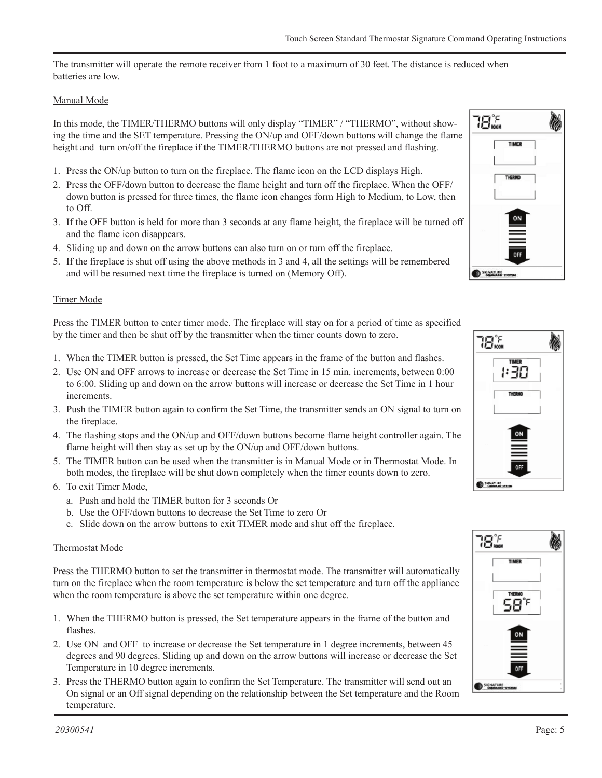The transmitter will operate the remote receiver from 1 foot to a maximum of 30 feet. The distance is reduced when batteries are low.

#### Manual Mode

In this mode, the TIMER/THERMO buttons will only display "TIMER" / "THERMO", without showing the time and the SET temperature. Pressing the ON/up and OFF/down buttons will change the flame height and turn on/off the fireplace if the TIMER/THERMO buttons are not pressed and flashing.

- 1. Press the ON/up button to turn on the fireplace. The flame icon on the LCD displays High.
- 2. Press the OFF/down button to decrease the flame height and turn off the fireplace. When the OFF/ down button is pressed for three times, the flame icon changes form High to Medium, to Low, then to Off.
- 3. If the OFF button is held for more than 3 seconds at any flame height, the fireplace will be turned off and the flame icon disappears.
- 4. Sliding up and down on the arrow buttons can also turn on or turn off the fireplace.
- 5. If the fireplace is shut off using the above methods in 3 and 4, all the settings will be remembered and will be resumed next time the fireplace is turned on (Memory Off).

#### Timer Mode

Press the TIMER button to enter timer mode. The fireplace will stay on for a period of time as specified by the timer and then be shut off by the transmitter when the timer counts down to zero.

- 1. When the TIMER button is pressed, the Set Time appears in the frame of the button and flashes.
- 2. Use ON and OFF arrows to increase or decrease the Set Time in 15 min. increments, between 0:00 to 6:00. Sliding up and down on the arrow buttons will increase or decrease the Set Time in 1 hour increments.
- 3. Push the TIMER button again to confirm the Set Time, the transmitter sends an ON signal to turn on the fireplace.
- 4. The flashing stops and the ON/up and OFF/down buttons become flame height controller again. The flame height will then stay as set up by the ON/up and OFF/down buttons.
- 5. The TIMER button can be used when the transmitter is in Manual Mode or in Thermostat Mode. In both modes, the fireplace will be shut down completely when the timer counts down to zero.
- 6. To exit Timer Mode,
	- a. Push and hold the TIMER button for 3 seconds Or
	- b. Use the OFF/down buttons to decrease the Set Time to zero Or
	- c. Slide down on the arrow buttons to exit TIMER mode and shut off the fireplace.

#### Thermostat Mode

Press the THERMO button to set the transmitter in thermostat mode. The transmitter will automatically turn on the fireplace when the room temperature is below the set temperature and turn off the appliance when the room temperature is above the set temperature within one degree.

- 1. When the THERMO button is pressed, the Set temperature appears in the frame of the button and flashes.
- 2. Use ON and OFF to increase or decrease the Set temperature in 1 degree increments, between 45 degrees and 90 degrees. Sliding up and down on the arrow buttons will increase or decrease the Set Temperature in 10 degree increments.
- 3. Press the THERMO button again to confirm the Set Temperature. The transmitter will send out an On signal or an Off signal depending on the relationship between the Set temperature and the Room temperature.





| 18‰          |  |
|--------------|--|
| <b>TIMER</b> |  |
|              |  |
| ™<br>58°     |  |
|              |  |
|              |  |
| OFF          |  |
| SIGNATURE    |  |

FP2664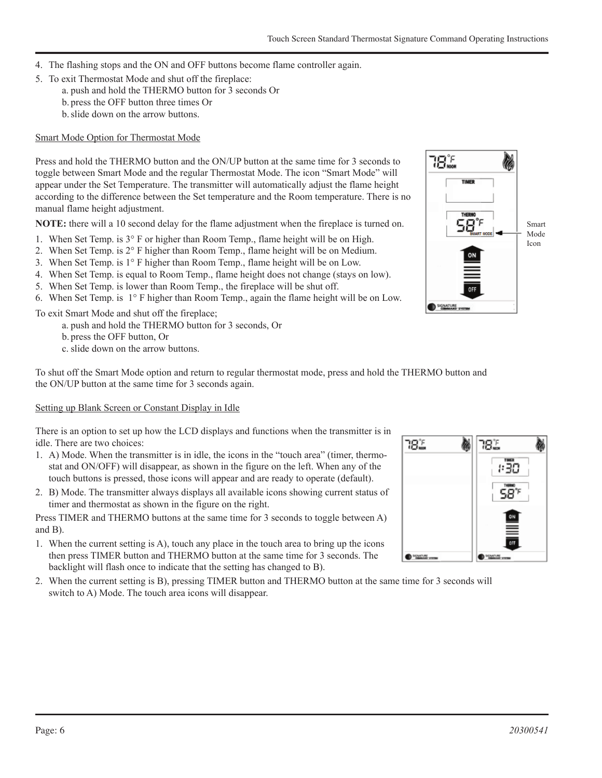- 4. The flashing stops and the ON and OFF buttons become flame controller again.
- 5. To exit Thermostat Mode and shut off the fireplace:
	- a. push and hold the THERMO button for 3 seconds Or
	- b. press the OFF button three times Or
	- b.slide down on the arrow buttons.

# Smart Mode Option for Thermostat Mode

Press and hold the THERMO button and the ON/UP button at the same time for 3 seconds to toggle between Smart Mode and the regular Thermostat Mode. The icon "Smart Mode" will appear under the Set Temperature. The transmitter will automatically adjust the flame height according to the difference between the Set temperature and the Room temperature. There is no manual flame height adjustment.

**NOTE:** there will a 10 second delay for the flame adjustment when the fireplace is turned on.

- 1. When Set Temp. is 3° F or higher than Room Temp., flame height will be on High.
- 2. When Set Temp. is 2° F higher than Room Temp., flame height will be on Medium.
- 3. When Set Temp. is 1° F higher than Room Temp., flame height will be on Low.
- 4. When Set Temp. is equal to Room Temp., flame height does not change (stays on low).
- 5. When Set Temp. is lower than Room Temp., the fireplace will be shut off.
- 6. When Set Temp. is 1° F higher than Room Temp., again the flame height will be on Low.

To exit Smart Mode and shut off the fireplace;

a. push and hold the THERMO button for 3 seconds, Or

b. press the OFF button, Or

c. slide down on the arrow buttons.

To shut off the Smart Mode option and return to regular thermostat mode, press and hold the THERMO button and the ON/UP button at the same time for 3 seconds again.

# Setting up Blank Screen or Constant Display in Idle

There is an option to set up how the LCD displays and functions when the transmitter is in idle. There are two choices:

- 1. A) Mode. When the transmitter is in idle, the icons in the "touch area" (timer, thermostat and ON/OFF) will disappear, as shown in the figure on the left. When any of the touch buttons is pressed, those icons will appear and are ready to operate (default).
- 2. B) Mode. The transmitter always displays all available icons showing current status of timer and thermostat as shown in the figure on the right.

Press TIMER and THERMO buttons at the same time for 3 seconds to toggle between A) and B).

- 1. When the current setting is A), touch any place in the touch area to bring up the icons then press TIMER button and THERMO button at the same time for 3 seconds. The backlight will flash once to indicate that the setting has changed to B).
- 2. When the current setting is B), pressing TIMER button and THERMO button at the same time for 3 seconds will switch to A) Mode. The touch area icons will disappear.



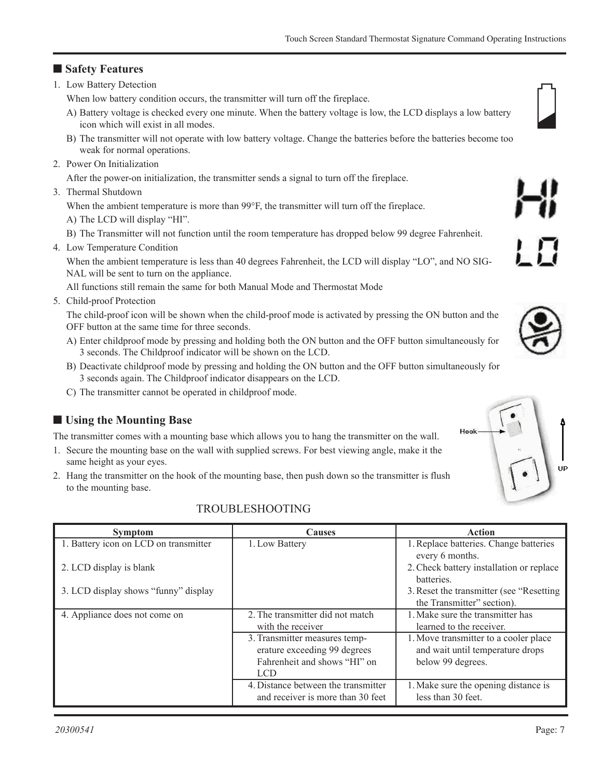## ■ Safety Features

1. Low Battery Detection

When low battery condition occurs, the transmitter will turn off the fireplace.

- A) Battery voltage is checked every one minute. When the battery voltage is low, the LCD displays a low battery icon which will exist in all modes.
- B) The transmitter will not operate with low battery voltage. Change the batteries before the batteries become too weak for normal operations.
- 2. Power On Initialization

After the power-on initialization, the transmitter sends a signal to turn off the fireplace.

3. Thermal Shutdown

When the ambient temperature is more than 99 $\degree$ F, the transmitter will turn off the fireplace. A) The LCD will display "HI".

B) The Transmitter will not function until the room temperature has dropped below 99 degree Fahrenheit.

4. Low Temperature Condition

When the ambient temperature is less than 40 degrees Fahrenheit, the LCD will display "LO", and NO SIG-NAL will be sent to turn on the appliance.

All functions still remain the same for both Manual Mode and Thermostat Mode

5. Child-proof Protection

The child-proof icon will be shown when the child-proof mode is activated by pressing the ON button and the OFF button at the same time for three seconds.

- A) Enter childproof mode by pressing and holding both the ON button and the OFF button simultaneously for 3 seconds. The Childproof indicator will be shown on the LCD.
- B) Deactivate childproof mode by pressing and holding the ON button and the OFF button simultaneously for 3 seconds again. The Childproof indicator disappears on the LCD.
- C) The transmitter cannot be operated in childproof mode.

# n **Using the Mounting Base**

The transmitter comes with a mounting base which allows you to hang the transmitter on the wall.

- 1. Secure the mounting base on the wall with supplied screws. For best viewing angle, make it the same height as your eyes.
- 2. Hang the transmitter on the hook of the mounting base, then push down so the transmitter is flush to the mounting base.

| <b>Symptom</b>                        | <b>Causes</b>                       | Action                                     |
|---------------------------------------|-------------------------------------|--------------------------------------------|
| 1. Battery icon on LCD on transmitter | 1. Low Battery                      | 1. Replace batteries. Change batteries     |
|                                       |                                     | every 6 months.                            |
| 2. LCD display is blank               |                                     | 2. Check battery installation or replace   |
|                                       |                                     | batteries.                                 |
| 3. LCD display shows "funny" display  |                                     | 3. Reset the transmitter (see "Resetting") |
|                                       |                                     | the Transmitter" section).                 |
| 4. Appliance does not come on         | 2. The transmitter did not match    | 1. Make sure the transmitter has           |
|                                       | with the receiver                   | learned to the receiver.                   |
|                                       | 3. Transmitter measures temp-       | 1. Move transmitter to a cooler place      |
|                                       | erature exceeding 99 degrees        | and wait until temperature drops           |
|                                       | Fahrenheit and shows "HI" on        | below 99 degrees.                          |
|                                       | LCD.                                |                                            |
|                                       | 4. Distance between the transmitter | 1. Make sure the opening distance is       |
|                                       | and receiver is more than 30 feet   | less than 30 feet.                         |

### TROUBLESHOOTING



low battery